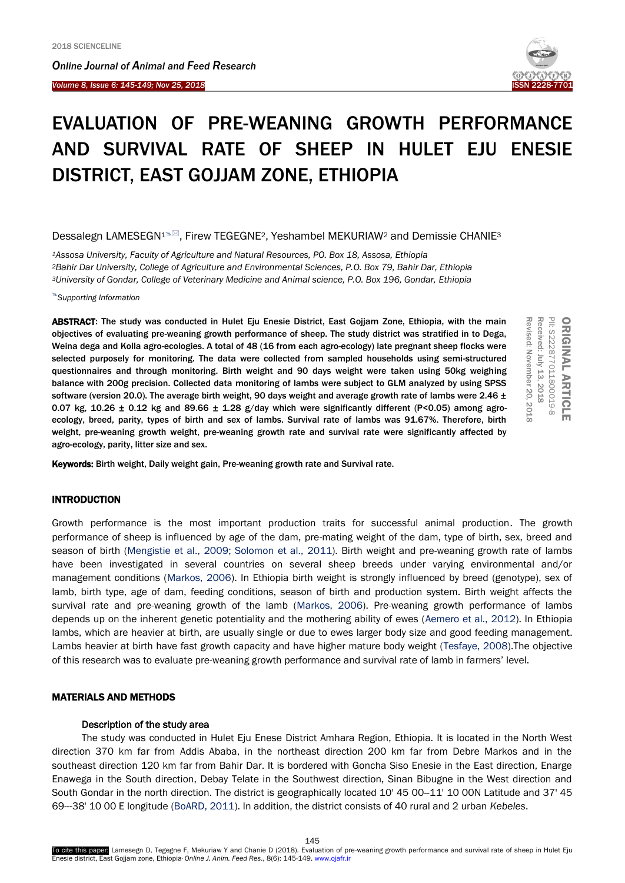I

*Online Journal of A[nimal and](http://www.ojafr.ir/main/) Feed Research Volume 8, Issue 6: 145-149; Nov 25, 2018* 



# EVALUATION OF PRE-WEANING GROWTH PERFORMANCE AND SURVIVAL RATE OF SHEEP IN HULET EJU ENESIE DISTRICT, EAST GOJJAM ZONE, ETHIOPIA

# Dessalegn LAMESEGN<sup>1%</sup>, Firew TEGEGNE<sup>2</sup>, Yeshambel MEKURIAW<sup>2</sup> and Demissie CHANIE<sup>3</sup>

*<sup>1</sup>Assosa University, Faculty of Agriculture and Natural Resources, PO. Box 18, Assosa, Ethiopia <sup>2</sup>Bahir Dar University, College of Agriculture and Environmental Sciences, P.O. Box 79, Bahir Dar, Ethiopia <sup>3</sup>University of Gondar, College of Veterinary Medicine and Animal science, P.O. Box 196, Gondar, Ethiopia* 

*Supporting Information*

ABSTRACT: The study was conducted in Hulet Eju Enesie District, East Gojjam Zone, Ethiopia, with the main objectives of evaluating pre-weaning growth performance of sheep. The study district was stratified in to Dega, Weina dega and Kolla agro-ecologies. A total of 48 (16 from each agro-ecology) late pregnant sheep flocks were selected purposely for monitoring. The data were collected from sampled households using semi-structured questionnaires and through monitoring. Birth weight and 90 days weight were taken using 50kg weighing balance with 200g precision. Collected data monitoring of lambs were subject to GLM analyzed by using SPSS software (version 20.0). The average birth weight, 90 days weight and average growth rate of lambs were 2.46  $\pm$ 0.07 kg, 10.26  $\pm$  0.12 kg and 89.66  $\pm$  1.28 g/day which were significantly different (P<0.05) among agroecology, breed, parity, types of birth and sex of lambs. Survival rate of lambs was 91.67%. Therefore, birth weight, pre-weaning growth weight, pre-weaning growth rate and survival rate were significantly affected by agro-ecology, parity, litter size and sex.



Keywords: Birth weight, Daily weight gain, Pre-weaning growth rate and Survival rate.

# INTRODUCTION

Growth performance is the most important production traits for successful animal production. The growth performance of sheep is influenced by age of the dam, pre-mating weight of the dam, type of birth, sex, breed and season of birth (Mengistie et al., 2009; Solomon et al., 2011). Birth weight and pre-weaning growth rate of lambs have been investigated in several countries on several sheep breeds under varying environmental and/or management conditions (Markos, 2006). In Ethiopia birth weight is strongly influenced by breed (genotype), sex of lamb, birth type, age of dam, feeding conditions, season of birth and production system. Birth weight affects the survival rate and pre-weaning growth of the lamb (Markos, 2006). Pre-weaning growth performance of lambs depends up on the inherent genetic potentiality and the mothering ability of ewes (Aemero et al., 2012). In Ethiopia lambs, which are heavier at birth, are usually single or due to ewes larger body size and good feeding management. Lambs heavier at birth have fast growth capacity and have higher mature body weight (Tesfaye, 2008).The objective of this research was to evaluate pre-weaning growth performance and survival rate of lamb in farmers' level.

# MATERIALS AND METHODS

#### Description of the study area

The study was conducted in Hulet Eju Enese District Amhara Region, Ethiopia. It is located in the North West direction 370 km far from Addis Ababa, in the northeast direction 200 km far from Debre Markos and in the southeast direction 120 km far from Bahir Dar. It is bordered with Goncha Siso Enesie in the East direction, Enarge Enawega in the South direction, Debay Telate in the Southwest direction, Sinan Bibugne in the West direction and South Gondar in the north direction. The district is geographically located 10' 45 00-11' 10 00N Latitude and 37' 45 69---38' 10 00 E longitude (BoARD, 2011). In addition, the district consists of 40 rural and 2 urban *Kebeles*.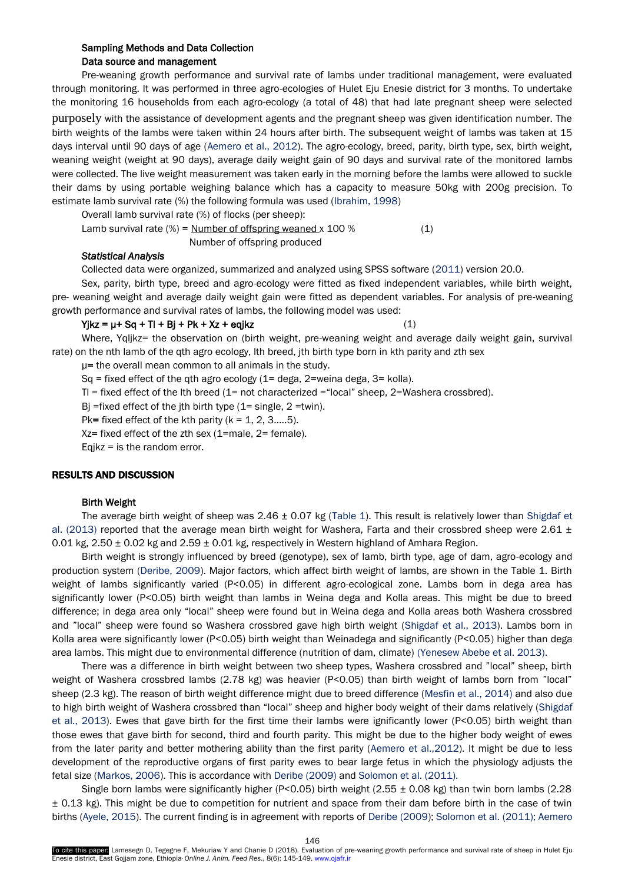# Sampling Methods and Data Collection Data source and management

Pre-weaning growth performance and survival rate of lambs under traditional management, were evaluated through monitoring. It was performed in three agro-ecologies of Hulet Eju Enesie district for 3 months. To undertake the monitoring 16 households from each agro-ecology (a total of 48) that had late pregnant sheep were selected purposely with the assistance of development agents and the pregnant sheep was given identification number. The birth weights of the lambs were taken within 24 hours after birth. The subsequent weight of lambs was taken at 15 days interval until 90 days of age (Aemero et al., 2012). The agro-ecology, breed, parity, birth type, sex, birth weight, weaning weight (weight at 90 days), average daily weight gain of 90 days and survival rate of the monitored lambs were collected. The live weight measurement was taken early in the morning before the lambs were allowed to suckle their dams by using portable weighing balance which has a capacity to measure 50kg with 200g precision. To estimate lamb survival rate (%) the following formula was used (Ibrahim, 1998)

Overall lamb survival rate (%) of flocks (per sheep):

Lamb survival rate  $(\%)$  = <u>Number of offspring weaned</u> x 100  $%$  (1) Number of offspring produced

## *Statistical Analysis*

Collected data were organized, summarized and analyzed using SPSS software (2011) version 20.0.

Sex, parity, birth type, breed and agro-ecology were fitted as fixed independent variables, while birth weight, pre- weaning weight and average daily weight gain were fitted as dependent variables. For analysis of pre-weaning growth performance and survival rates of lambs, the following model was used:

 $Y$ jkz =  $\mu$ + Sq + Tl + Bj + Pk + Xz + eqjkz (1)

Where, Yqljkz= the observation on (birth weight, pre-weaning weight and average daily weight gain, survival rate) on the nth lamb of the qth agro ecology, lth breed, jth birth type born in kth parity and zth sex

µ= the overall mean common to all animals in the study.

 $Sq = fixed effect of the qth age cocology (1 = dega, 2 = weina dega, 3 = kolla).$ 

Tl = fixed effect of the lth breed (1= not characterized ="local" sheep, 2=Washera crossbred).

Bj =fixed effect of the jth birth type  $(1=$  single,  $2 =$ twin).

Pk= fixed effect of the kth parity  $(k = 1, 2, 3, \ldots, 5)$ .

Xz= fixed effect of the zth sex (1=male, 2= female).

Eqjkz = is the random error.

# RESULTS AND DISCUSSION

#### Birth Weight

The average birth weight of sheep was  $2.46 \pm 0.07$  kg (Table 1). This result is relatively lower than Shigdaf et al. (2013) reported that the average mean birth weight for Washera, Farta and their crossbred sheep were 2.61  $\pm$ 0.01 kg,  $2.50 \pm 0.02$  kg and  $2.59 \pm 0.01$  kg, respectively in Western highland of Amhara Region.

Birth weight is strongly influenced by breed (genotype), sex of lamb, birth type, age of dam, agro-ecology and production system (Deribe, 2009). Major factors, which affect birth weight of lambs, are shown in the Table 1. Birth weight of lambs significantly varied (P<0.05) in different agro-ecological zone. Lambs born in dega area has significantly lower (P<0.05) birth weight than lambs in Weina dega and Kolla areas. This might be due to breed difference; in dega area only "local" sheep were found but in Weina dega and Kolla areas both Washera crossbred and "local" sheep were found so Washera crossbred gave high birth weight (Shigdaf et al., 2013). Lambs born in Kolla area were significantly lower (P<0.05) birth weight than Weinadega and significantly (P<0.05) higher than dega area lambs. This might due to environmental difference (nutrition of dam, climate) (Yenesew Abebe et al. 2013).

There was a difference in birth weight between two sheep types, Washera crossbred and "local" sheep, birth weight of Washera crossbred lambs (2.78 kg) was heavier (P<0.05) than birth weight of lambs born from "local" sheep (2.3 kg). The reason of birth weight difference might due to breed difference (Mesfin et al., 2014) and also due to high birth weight of Washera crossbred than "local" sheep and higher body weight of their dams relatively (Shigdaf et al., 2013). Ewes that gave birth for the first time their lambs were ignificantly lower (P<0.05) birth weight than those ewes that gave birth for second, third and fourth parity. This might be due to the higher body weight of ewes from the later parity and better mothering ability than the first parity (Aemero et al.,2012). It might be due to less development of the reproductive organs of first parity ewes to bear large fetus in which the physiology adjusts the fetal size (Markos, 2006). This is accordance with Deribe (2009) and Solomon et al. (2011).

Single born lambs were significantly higher (P<0.05) birth weight (2.55  $\pm$  0.08 kg) than twin born lambs (2.28  $\pm$  0.13 kg). This might be due to competition for nutrient and space from their dam before birth in the case of twin births (Ayele, 2015). The current finding is in agreement with reports of Deribe (2009); Solomon et al. (2011); Aemero

146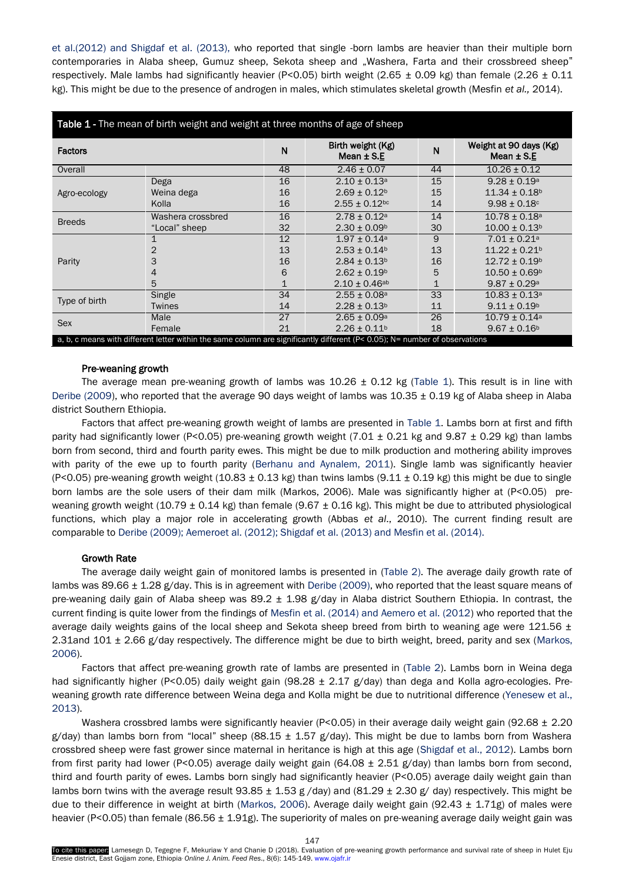et al.(2012) and Shigdaf et al. (2013), who reported that single -born lambs are heavier than their multiple born contemporaries in Alaba sheep, Gumuz sheep, Sekota sheep and "Washera, Farta and their crossbreed sheep" respectively. Male lambs had significantly heavier (P<0.05) birth weight (2.65  $\pm$  0.09 kg) than female (2.26  $\pm$  0.11 kg). This might be due to the presence of androgen in males, which stimulates skeletal growth (Mesfin *et al.,* 2014).

| <b>Table 1 - The mean of birth weight and weight at three months of age of sheep</b>                                        |                   |    |                                     |    |                                          |  |  |
|-----------------------------------------------------------------------------------------------------------------------------|-------------------|----|-------------------------------------|----|------------------------------------------|--|--|
| <b>Factors</b>                                                                                                              |                   | N  | Birth weight (Kg)<br>Mean $\pm$ S.E | N  | Weight at 90 days (Kg)<br>Mean $\pm$ S.E |  |  |
| Overall                                                                                                                     |                   | 48 | $2.46 \pm 0.07$                     | 44 | $10.26 \pm 0.12$                         |  |  |
| Agro-ecology                                                                                                                | Dega              | 16 | $2.10 \pm 0.13$ <sup>a</sup>        | 15 | $9.28 \pm 0.19^{\circ}$                  |  |  |
|                                                                                                                             | Weina dega        | 16 | $2.69 \pm 0.12$ <sup>b</sup>        | 15 | $11.34 \pm 0.18$ <sup>b</sup>            |  |  |
|                                                                                                                             | Kolla             | 16 | $2.55 \pm 0.12$ <sub>bc</sub>       | 14 | $9.98 \pm 0.18$ c                        |  |  |
| <b>Breeds</b>                                                                                                               | Washera crossbred | 16 | $2.78 + 0.12a$                      | 14 | $10.78 \pm 0.18^{\circ}$                 |  |  |
|                                                                                                                             | "Local" sheep     | 32 | $2.30 \pm 0.09^{\circ}$             | 30 | $10.00 \pm 0.13$ <sup>b</sup>            |  |  |
| Parity                                                                                                                      | 1                 | 12 | $1.97 \pm 0.14$ a                   | 9  | $7.01 \pm 0.21$ <sup>a</sup>             |  |  |
|                                                                                                                             | 2                 | 13 | $2.53 \pm 0.14$ <sup>b</sup>        | 13 | $11.22 \pm 0.21$ <sup>b</sup>            |  |  |
|                                                                                                                             | 3                 | 16 | $2.84 \pm 0.13$ <sup>b</sup>        | 16 | $12.72 \pm 0.19^b$                       |  |  |
|                                                                                                                             | 4                 | 6  | $2.62 \pm 0.19$ <sup>b</sup>        | 5  | $10.50 \pm 0.69$ <sup>b</sup>            |  |  |
|                                                                                                                             | 5                 |    | $2.10 \pm 0.46$ ab                  | 1  | $9.87 \pm 0.29^{\circ}$                  |  |  |
| Type of birth                                                                                                               | Single            | 34 | $2.55 \pm 0.08$ <sup>a</sup>        | 33 | $10.83 \pm 0.13$ <sup>a</sup>            |  |  |
|                                                                                                                             | <b>Twines</b>     | 14 | $2.28 \pm 0.13$ <sup>b</sup>        | 11 | $9.11 \pm 0.19^b$                        |  |  |
| Sex                                                                                                                         | Male              | 27 | $2.65 \pm 0.09$ <sup>a</sup>        | 26 | $10.79 \pm 0.14$ a                       |  |  |
|                                                                                                                             | Female            | 21 | $2.26 \pm 0.11$ <sup>b</sup>        | 18 | $9.67 \pm 0.16^b$                        |  |  |
| a, b, c means with different letter within the same column are significantly different (P< 0.05); N= number of observations |                   |    |                                     |    |                                          |  |  |

# Pre-weaning growth

The average mean pre-weaning growth of lambs was  $10.26 \pm 0.12$  kg (Table 1). This result is in line with Deribe (2009), who reported that the average 90 days weight of lambs was 10.35 ± 0.19 kg of Alaba sheep in Alaba district Southern Ethiopia.

Factors that affect pre-weaning growth weight of lambs are presented in Table 1. Lambs born at first and fifth parity had significantly lower (P<0.05) pre-weaning growth weight (7.01  $\pm$  0.21 kg and 9.87  $\pm$  0.29 kg) than lambs born from second, third and fourth parity ewes. This might be due to milk production and mothering ability improves with parity of the ewe up to fourth parity (Berhanu and Aynalem, 2011). Single lamb was significantly heavier (P<0.05) pre-weaning growth weight (10.83  $\pm$  0.13 kg) than twins lambs (9.11  $\pm$  0.19 kg) this might be due to single born lambs are the sole users of their dam milk (Markos, 2006). Male was significantly higher at (P<0.05) preweaning growth weight (10.79 ± 0.14 kg) than female (9.67 ± 0.16 kg). This might be due to attributed physiological functions, which play a major role in accelerating growth (Abbas *et al*., 2010). The current finding result are comparable to Deribe (2009); Aemeroet al. (2012); Shigdaf et al. (2013) and Mesfin et al. (2014).

# Growth Rate

The average daily weight gain of monitored lambs is presented in (Table 2). The average daily growth rate of lambs was 89.66  $\pm$  1.28 g/day. This is in agreement with Deribe (2009), who reported that the least square means of pre-weaning daily gain of Alaba sheep was 89.2 ± 1.98 g/day in Alaba district Southern Ethiopia. In contrast, the current finding is quite lower from the findings of Mesfin et al. (2014) and Aemero et al. (2012) who reported that the average daily weights gains of the local sheep and Sekota sheep breed from birth to weaning age were 121.56  $\pm$ 2.31and 101 ± 2.66 g/day respectively. The difference might be due to birth weight, breed, parity and sex (Markos, 2006).

Factors that affect pre-weaning growth rate of lambs are presented in (Table 2). Lambs born in Weina dega had significantly higher (P<0.05) daily weight gain (98.28 ± 2.17 g/day) than dega and Kolla agro-ecologies. Preweaning growth rate difference between Weina dega and Kolla might be due to nutritional difference (Yenesew et al., 2013).

Washera crossbred lambs were significantly heavier (P<0.05) in their average daily weight gain (92.68  $\pm$  2.20 g/day) than lambs born from "local" sheep (88.15  $\pm$  1.57 g/day). This might be due to lambs born from Washera crossbred sheep were fast grower since maternal in heritance is high at this age (Shigdaf et al., 2012). Lambs born from first parity had lower (P<0.05) average daily weight gain (64.08  $\pm$  2.51 g/day) than lambs born from second, third and fourth parity of ewes. Lambs born singly had significantly heavier (P<0.05) average daily weight gain than lambs born twins with the average result 93.85  $\pm$  1.53 g/day) and (81.29  $\pm$  2.30 g/day) respectively. This might be due to their difference in weight at birth (Markos, 2006). Average daily weight gain (92.43  $\pm$  1.71g) of males were heavier (P<0.05) than female (86.56 ± 1.91g). The superiority of males on pre-weaning average daily weight gain was

To cite this paper: Lamesegn D, Tegegne F, Mekuriaw Y and Chanie D (2018). Evaluation of pre-weaning growth performance and survival rate of sheep in Hulet Eju Enesie district, East Gojjam zone, Ethiopia. *Online J. Anim. Feed Res*., 8(6): 145-149. www.ojafr.ir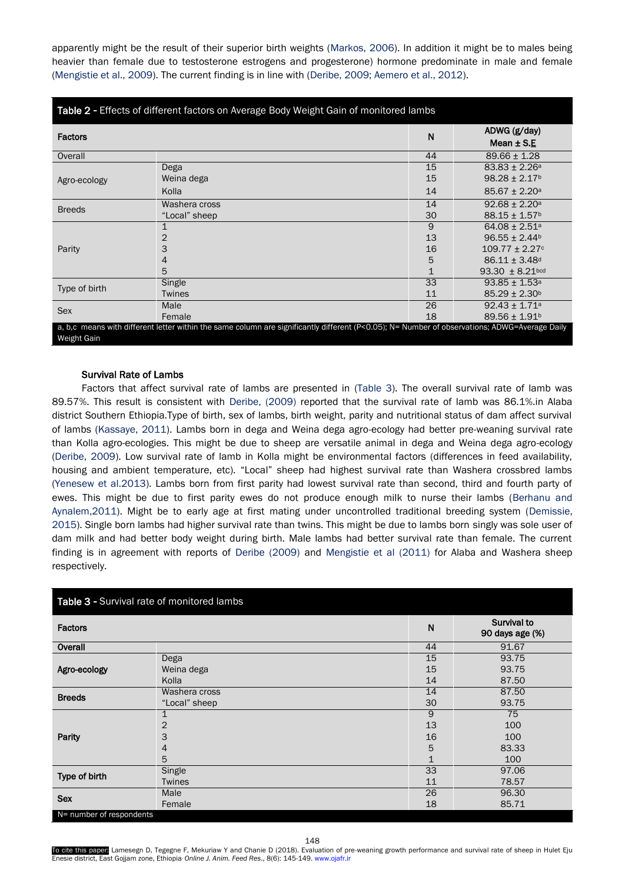apparently might be the result of their superior birth weights (Markos, 2006). In addition it might be to males being heavier than female due to testosterone estrogens and progesterone) hormone predominate in male and female (Mengistie et al., 2009). The current finding is in line with (Deribe, 2009; Aemero et al., 2012).

| Table 2 - Effects of different factors on Average Body Weight Gain of monitored lambs                                                         |               |    |                                 |  |  |
|-----------------------------------------------------------------------------------------------------------------------------------------------|---------------|----|---------------------------------|--|--|
| <b>Factors</b>                                                                                                                                |               | N  | ADWG (g/day)                    |  |  |
|                                                                                                                                               |               |    | Mean $\pm$ S.E                  |  |  |
| Overall                                                                                                                                       |               | 44 | $89.66 \pm 1.28$                |  |  |
| Agro-ecology                                                                                                                                  | Dega          | 15 | $83.83 \pm 2.26^{\circ}$        |  |  |
|                                                                                                                                               | Weina dega    | 15 | $98.28 \pm 2.17$ <sup>b</sup>   |  |  |
|                                                                                                                                               | Kolla         | 14 | $85.67 \pm 2.20$ a              |  |  |
| <b>Breeds</b>                                                                                                                                 | Washera cross | 14 | $92.68 \pm 2.20^{\circ}$        |  |  |
|                                                                                                                                               | "Local" sheep | 30 | $88.15 \pm 1.57$ <sup>b</sup>   |  |  |
| Parity                                                                                                                                        |               | 9  | $64.08 \pm 2.51$ <sup>a</sup>   |  |  |
|                                                                                                                                               | 2             | 13 | $96.55 \pm 2.44^b$              |  |  |
|                                                                                                                                               | 3             | 16 | $109.77 \pm 2.27$ <sup>c</sup>  |  |  |
|                                                                                                                                               | 4             | 5  | $86.11 \pm 3.48$ <sup>d</sup>   |  |  |
|                                                                                                                                               | 5             |    | $93.30 \pm 8.21$ <sub>bcd</sub> |  |  |
| Type of birth                                                                                                                                 | Single        | 33 | $93.85 \pm 1.53$ <sup>a</sup>   |  |  |
|                                                                                                                                               | <b>Twines</b> | 11 | $85.29 \pm 2.30$ <sup>b</sup>   |  |  |
| <b>Sex</b>                                                                                                                                    | Male          | 26 | $92.43 \pm 1.71$ <sup>a</sup>   |  |  |
|                                                                                                                                               | Female        | 18 | $89.56 \pm 1.91$ <sup>b</sup>   |  |  |
| a, b,c means with different letter within the same column are significantly different (P<0.05); N= Number of observations; ADWG=Average Daily |               |    |                                 |  |  |
| Weight Gain                                                                                                                                   |               |    |                                 |  |  |

# Survival Rate of Lambs

Factors that affect survival rate of lambs are presented in (Table 3). The overall survival rate of lamb was 89.57%. This result is consistent with Deribe, (2009) reported that the survival rate of lamb was 86.1%.in Alaba district Southern Ethiopia.Type of birth, sex of lambs, birth weight, parity and nutritional status of dam affect survival of lambs (Kassaye, 2011). Lambs born in dega and Weina dega agro-ecology had better pre-weaning survival rate than Kolla agro-ecologies. This might be due to sheep are versatile animal in dega and Weina dega agro-ecology (Deribe, 2009). Low survival rate of lamb in Kolla might be environmental factors (differences in feed availability, housing and ambient temperature, etc). "Local" sheep had highest survival rate than Washera crossbred lambs (Yenesew et al.2013). Lambs born from first parity had lowest survival rate than second, third and fourth party of ewes. This might be due to first parity ewes do not produce enough milk to nurse their lambs (Berhanu and Aynalem,2011). Might be to early age at first mating under uncontrolled traditional breeding system (Demissie, 2015). Single born lambs had higher survival rate than twins. This might be due to lambs born singly was sole user of dam milk and had better body weight during birth. Male lambs had better survival rate than female. The current finding is in agreement with reports of Deribe (2009) and Mengistie et al (2011) for Alaba and Washera sheep respectively.

| Table 3 - Survival rate of monitored lambs |               |             |                                |  |  |
|--------------------------------------------|---------------|-------------|--------------------------------|--|--|
| <b>Factors</b>                             |               | N           | Survival to<br>90 days age (%) |  |  |
| Overall                                    |               | 44          | 91.67                          |  |  |
|                                            | Dega          | 15          | 93.75                          |  |  |
| Agro-ecology                               | Weina dega    | 15          | 93.75                          |  |  |
|                                            | Kolla         | 14          | 87.50                          |  |  |
| <b>Breeds</b>                              | Washera cross | 14          | 87.50                          |  |  |
|                                            | "Local" sheep | 30          | 93.75                          |  |  |
|                                            | 1             | 9           | 75                             |  |  |
|                                            | 2             | 13          | 100                            |  |  |
| Parity                                     | 3             | 16          | 100                            |  |  |
|                                            | 4             | 5           | 83.33                          |  |  |
|                                            | 5             | $\mathbf 1$ | 100                            |  |  |
| Type of birth                              | Single        | 33          | 97.06                          |  |  |
|                                            | <b>Twines</b> | 11          | 78.57                          |  |  |
| <b>Sex</b>                                 | Male          | 26          | 96.30                          |  |  |
|                                            | Female        | 18          | 85.71                          |  |  |
| N= number of respondents                   |               |             |                                |  |  |